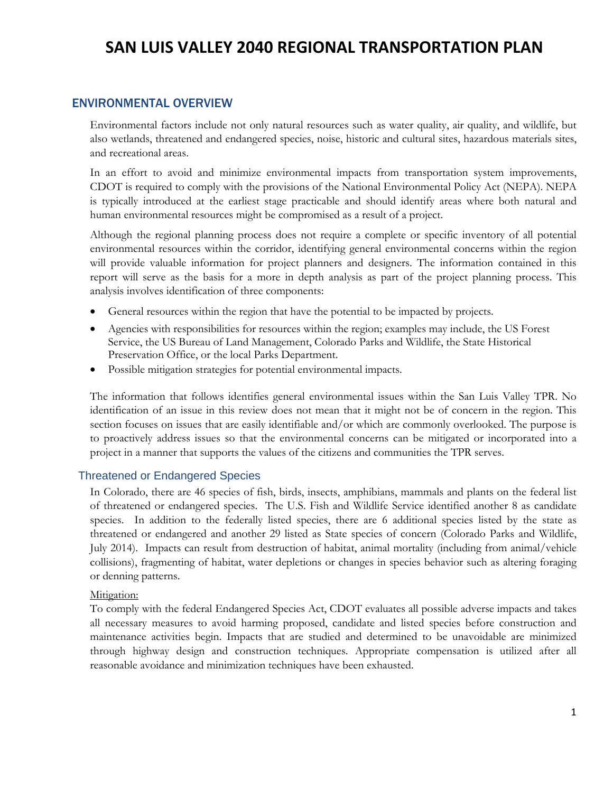## ENVIRONMENTAL OVERVIEW

Environmental factors include not only natural resources such as water quality, air quality, and wildlife, but also wetlands, threatened and endangered species, noise, historic and cultural sites, hazardous materials sites, and recreational areas.

In an effort to avoid and minimize environmental impacts from transportation system improvements, CDOT is required to comply with the provisions of the National Environmental Policy Act (NEPA). NEPA is typically introduced at the earliest stage practicable and should identify areas where both natural and human environmental resources might be compromised as a result of a project.

Although the regional planning process does not require a complete or specific inventory of all potential environmental resources within the corridor, identifying general environmental concerns within the region will provide valuable information for project planners and designers. The information contained in this report will serve as the basis for a more in depth analysis as part of the project planning process. This analysis involves identification of three components:

- General resources within the region that have the potential to be impacted by projects.
- Agencies with responsibilities for resources within the region; examples may include, the US Forest Service, the US Bureau of Land Management, Colorado Parks and Wildlife, the State Historical Preservation Office, or the local Parks Department.
- Possible mitigation strategies for potential environmental impacts.

The information that follows identifies general environmental issues within the San Luis Valley TPR. No identification of an issue in this review does not mean that it might not be of concern in the region. This section focuses on issues that are easily identifiable and/or which are commonly overlooked. The purpose is to proactively address issues so that the environmental concerns can be mitigated or incorporated into a project in a manner that supports the values of the citizens and communities the TPR serves.

### Threatened or Endangered Species

In Colorado, there are 46 species of fish, birds, insects, amphibians, mammals and plants on the federal list of threatened or endangered species. The U.S. Fish and Wildlife Service identified another 8 as candidate species. In addition to the federally listed species, there are 6 additional species listed by the state as threatened or endangered and another 29 listed as State species of concern (Colorado Parks and Wildlife, July 2014). Impacts can result from destruction of habitat, animal mortality (including from animal/vehicle collisions), fragmenting of habitat, water depletions or changes in species behavior such as altering foraging or denning patterns.

### Mitigation:

To comply with the federal Endangered Species Act, CDOT evaluates all possible adverse impacts and takes all necessary measures to avoid harming proposed, candidate and listed species before construction and maintenance activities begin. Impacts that are studied and determined to be unavoidable are minimized through highway design and construction techniques. Appropriate compensation is utilized after all reasonable avoidance and minimization techniques have been exhausted.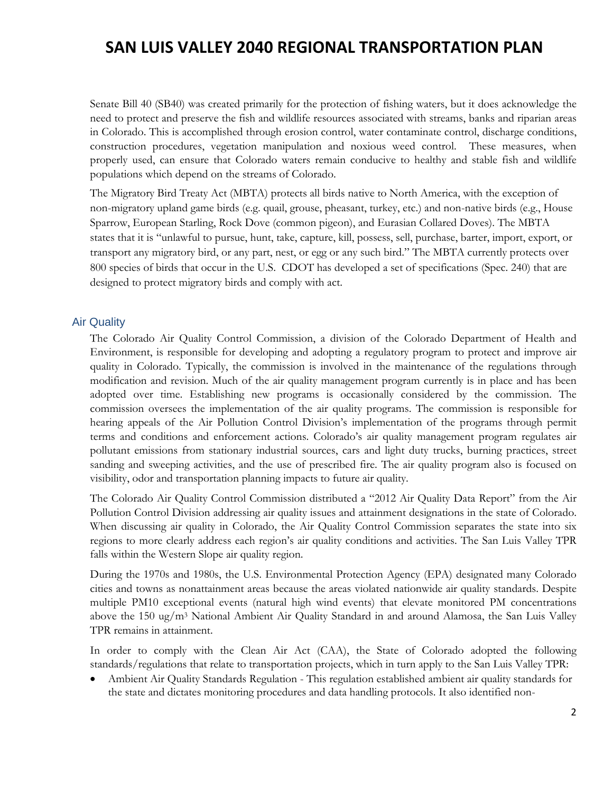Senate Bill 40 (SB40) was created primarily for the protection of fishing waters, but it does acknowledge the need to protect and preserve the fish and wildlife resources associated with streams, banks and riparian areas in Colorado. This is accomplished through erosion control, water contaminate control, discharge conditions, construction procedures, vegetation manipulation and noxious weed control. These measures, when properly used, can ensure that Colorado waters remain conducive to healthy and stable fish and wildlife populations which depend on the streams of Colorado.

The Migratory Bird Treaty Act (MBTA) protects all birds native to North America, with the exception of non-migratory upland game birds (e.g. quail, grouse, pheasant, turkey, etc.) and non-native birds (e.g., House Sparrow, European Starling, Rock Dove (common pigeon), and Eurasian Collared Doves). The MBTA states that it is "unlawful to pursue, hunt, take, capture, kill, possess, sell, purchase, barter, import, export, or transport any migratory bird, or any part, nest, or egg or any such bird." The MBTA currently protects over 800 species of birds that occur in the U.S. CDOT has developed a set of specifications (Spec. 240) that are designed to protect migratory birds and comply with act.

## Air Quality

The Colorado Air Quality Control Commission, a division of the Colorado Department of Health and Environment, is responsible for developing and adopting a regulatory program to protect and improve air quality in Colorado. Typically, the commission is involved in the maintenance of the regulations through modification and revision. Much of the air quality management program currently is in place and has been adopted over time. Establishing new programs is occasionally considered by the commission. The commission oversees the implementation of the air quality programs. The commission is responsible for hearing appeals of the Air Pollution Control Division's implementation of the programs through permit terms and conditions and enforcement actions. Colorado's air quality management program regulates air pollutant emissions from stationary industrial sources, cars and light duty trucks, burning practices, street sanding and sweeping activities, and the use of prescribed fire. The air quality program also is focused on visibility, odor and transportation planning impacts to future air quality.

The Colorado Air Quality Control Commission distributed a "2012 Air Quality Data Report" from the Air Pollution Control Division addressing air quality issues and attainment designations in the state of Colorado. When discussing air quality in Colorado, the Air Quality Control Commission separates the state into six regions to more clearly address each region's air quality conditions and activities. The San Luis Valley TPR falls within the Western Slope air quality region.

During the 1970s and 1980s, the U.S. Environmental Protection Agency (EPA) designated many Colorado cities and towns as nonattainment areas because the areas violated nationwide air quality standards. Despite multiple PM10 exceptional events (natural high wind events) that elevate monitored PM concentrations above the 150 ug/m<sup>3</sup> National Ambient Air Quality Standard in and around Alamosa, the San Luis Valley TPR remains in attainment.

In order to comply with the Clean Air Act (CAA), the State of Colorado adopted the following standards/regulations that relate to transportation projects, which in turn apply to the San Luis Valley TPR:

 Ambient Air Quality Standards Regulation - This regulation established ambient air quality standards for the state and dictates monitoring procedures and data handling protocols. It also identified non-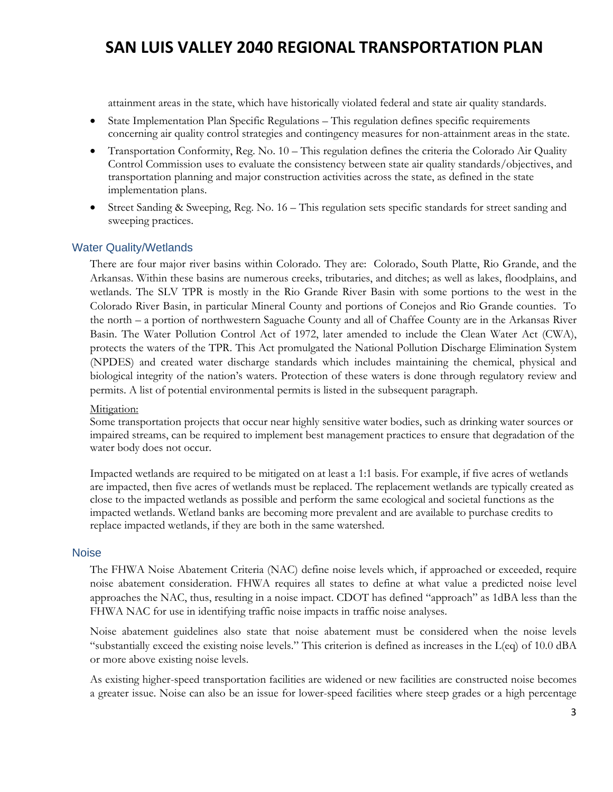attainment areas in the state, which have historically violated federal and state air quality standards.

- State Implementation Plan Specific Regulations This regulation defines specific requirements concerning air quality control strategies and contingency measures for non-attainment areas in the state.
- Transportation Conformity, Reg. No.  $10 -$  This regulation defines the criteria the Colorado Air Quality Control Commission uses to evaluate the consistency between state air quality standards/objectives, and transportation planning and major construction activities across the state, as defined in the state implementation plans.
- Street Sanding & Sweeping, Reg. No. 16 This regulation sets specific standards for street sanding and sweeping practices.

### Water Quality/Wetlands

There are four major river basins within Colorado. They are: Colorado, South Platte, Rio Grande, and the Arkansas. Within these basins are numerous creeks, tributaries, and ditches; as well as lakes, floodplains, and wetlands. The SLV TPR is mostly in the Rio Grande River Basin with some portions to the west in the Colorado River Basin, in particular Mineral County and portions of Conejos and Rio Grande counties. To the north – a portion of northwestern Saguache County and all of Chaffee County are in the Arkansas River Basin. The Water Pollution Control Act of 1972, later amended to include the Clean Water Act (CWA), protects the waters of the TPR. This Act promulgated the National Pollution Discharge Elimination System (NPDES) and created water discharge standards which includes maintaining the chemical, physical and biological integrity of the nation's waters. Protection of these waters is done through regulatory review and permits. A list of potential environmental permits is listed in the subsequent paragraph.

### Mitigation:

Some transportation projects that occur near highly sensitive water bodies, such as drinking water sources or impaired streams, can be required to implement best management practices to ensure that degradation of the water body does not occur.

Impacted wetlands are required to be mitigated on at least a 1:1 basis. For example, if five acres of wetlands are impacted, then five acres of wetlands must be replaced. The replacement wetlands are typically created as close to the impacted wetlands as possible and perform the same ecological and societal functions as the impacted wetlands. Wetland banks are becoming more prevalent and are available to purchase credits to replace impacted wetlands, if they are both in the same watershed.

### **Noise**

The FHWA Noise Abatement Criteria (NAC) define noise levels which, if approached or exceeded, require noise abatement consideration. FHWA requires all states to define at what value a predicted noise level approaches the NAC, thus, resulting in a noise impact. CDOT has defined "approach" as 1dBA less than the FHWA NAC for use in identifying traffic noise impacts in traffic noise analyses.

Noise abatement guidelines also state that noise abatement must be considered when the noise levels "substantially exceed the existing noise levels." This criterion is defined as increases in the L(eq) of 10.0 dBA or more above existing noise levels.

As existing higher-speed transportation facilities are widened or new facilities are constructed noise becomes a greater issue. Noise can also be an issue for lower-speed facilities where steep grades or a high percentage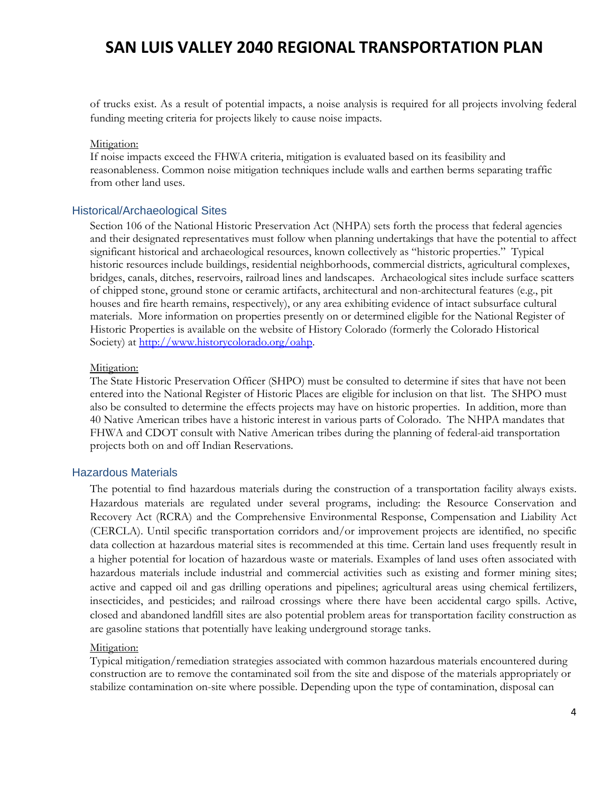of trucks exist. As a result of potential impacts, a noise analysis is required for all projects involving federal funding meeting criteria for projects likely to cause noise impacts.

#### Mitigation:

If noise impacts exceed the FHWA criteria, mitigation is evaluated based on its feasibility and reasonableness. Common noise mitigation techniques include walls and earthen berms separating traffic from other land uses.

#### Historical/Archaeological Sites

Section 106 of the National Historic Preservation Act (NHPA) sets forth the process that federal agencies and their designated representatives must follow when planning undertakings that have the potential to affect significant historical and archaeological resources, known collectively as "historic properties." Typical historic resources include buildings, residential neighborhoods, commercial districts, agricultural complexes, bridges, canals, ditches, reservoirs, railroad lines and landscapes. Archaeological sites include surface scatters of chipped stone, ground stone or ceramic artifacts, architectural and non-architectural features (e.g., pit houses and fire hearth remains, respectively), or any area exhibiting evidence of intact subsurface cultural materials. More information on properties presently on or determined eligible for the National Register of Historic Properties is available on the website of History Colorado (formerly the Colorado Historical Society) at http://www.historycolorado.org/oahp.

#### Mitigation:

The State Historic Preservation Officer (SHPO) must be consulted to determine if sites that have not been entered into the National Register of Historic Places are eligible for inclusion on that list. The SHPO must also be consulted to determine the effects projects may have on historic properties. In addition, more than 40 Native American tribes have a historic interest in various parts of Colorado. The NHPA mandates that FHWA and CDOT consult with Native American tribes during the planning of federal-aid transportation projects both on and off Indian Reservations.

### Hazardous Materials

The potential to find hazardous materials during the construction of a transportation facility always exists. Hazardous materials are regulated under several programs, including: the Resource Conservation and Recovery Act (RCRA) and the Comprehensive Environmental Response, Compensation and Liability Act (CERCLA). Until specific transportation corridors and/or improvement projects are identified, no specific data collection at hazardous material sites is recommended at this time. Certain land uses frequently result in a higher potential for location of hazardous waste or materials. Examples of land uses often associated with hazardous materials include industrial and commercial activities such as existing and former mining sites; active and capped oil and gas drilling operations and pipelines; agricultural areas using chemical fertilizers, insecticides, and pesticides; and railroad crossings where there have been accidental cargo spills. Active, closed and abandoned landfill sites are also potential problem areas for transportation facility construction as are gasoline stations that potentially have leaking underground storage tanks.

### Mitigation:

Typical mitigation/remediation strategies associated with common hazardous materials encountered during construction are to remove the contaminated soil from the site and dispose of the materials appropriately or stabilize contamination on-site where possible. Depending upon the type of contamination, disposal can